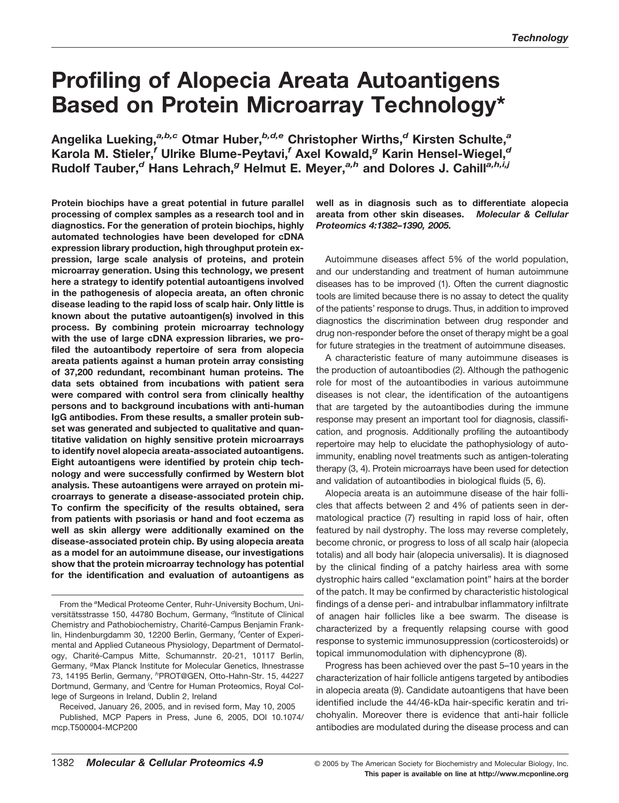# **Profiling of Alopecia Areata Autoantigens Based on Protein Microarray Technology\***

**Angelika Lueking,***a,b,c* **Otmar Huber,***b,d,e* **Christopher Wirths,***<sup>d</sup>* **Kirsten Schulte,***<sup>a</sup>* **Karola M. Stieler,***<sup>f</sup>* **Ulrike Blume-Peytavi,***<sup>f</sup>* **Axel Kowald,***<sup>g</sup>* **Karin Hensel-Wiegel,***<sup>d</sup>* **Rudolf Tauber,***<sup>d</sup>* **Hans Lehrach,***<sup>g</sup>* **Helmut E. Meyer,***a,h* **and Dolores J. Cahill***a,h,i,j*

**Protein biochips have a great potential in future parallel processing of complex samples as a research tool and in diagnostics. For the generation of protein biochips, highly automated technologies have been developed for cDNA expression library production, high throughput protein expression, large scale analysis of proteins, and protein microarray generation. Using this technology, we present here a strategy to identify potential autoantigens involved in the pathogenesis of alopecia areata, an often chronic disease leading to the rapid loss of scalp hair. Only little is known about the putative autoantigen(s) involved in this process. By combining protein microarray technology with the use of large cDNA expression libraries, we profiled the autoantibody repertoire of sera from alopecia areata patients against a human protein array consisting of 37,200 redundant, recombinant human proteins. The data sets obtained from incubations with patient sera were compared with control sera from clinically healthy persons and to background incubations with anti-human IgG antibodies. From these results, a smaller protein subset was generated and subjected to qualitative and quantitative validation on highly sensitive protein microarrays to identify novel alopecia areata-associated autoantigens. Eight autoantigens were identified by protein chip technology and were successfully confirmed by Western blot analysis. These autoantigens were arrayed on protein microarrays to generate a disease-associated protein chip. To confirm the specificity of the results obtained, sera from patients with psoriasis or hand and foot eczema as well as skin allergy were additionally examined on the disease-associated protein chip. By using alopecia areata as a model for an autoimmune disease, our investigations show that the protein microarray technology has potential for the identification and evaluation of autoantigens as**

Received, January 26, 2005, and in revised form, May 10, 2005

Published, MCP Papers in Press, June 6, 2005, DOI 10.1074/ mcp.T500004-MCP200

**well as in diagnosis such as to differentiate alopecia areata from other skin diseases.** *Molecular & Cellular Proteomics 4:1382–1390, 2005.*

Autoimmune diseases affect 5% of the world population, and our understanding and treatment of human autoimmune diseases has to be improved (1). Often the current diagnostic tools are limited because there is no assay to detect the quality of the patients' response to drugs. Thus, in addition to improved diagnostics the discrimination between drug responder and drug non-responder before the onset of therapy might be a goal for future strategies in the treatment of autoimmune diseases.

A characteristic feature of many autoimmune diseases is the production of autoantibodies (2). Although the pathogenic role for most of the autoantibodies in various autoimmune diseases is not clear, the identification of the autoantigens that are targeted by the autoantibodies during the immune response may present an important tool for diagnosis, classification, and prognosis. Additionally profiling the autoantibody repertoire may help to elucidate the pathophysiology of autoimmunity, enabling novel treatments such as antigen-tolerating therapy (3, 4). Protein microarrays have been used for detection and validation of autoantibodies in biological fluids (5, 6).

Alopecia areata is an autoimmune disease of the hair follicles that affects between 2 and 4% of patients seen in dermatological practice (7) resulting in rapid loss of hair, often featured by nail dystrophy. The loss may reverse completely, become chronic, or progress to loss of all scalp hair (alopecia totalis) and all body hair (alopecia universalis). It is diagnosed by the clinical finding of a patchy hairless area with some dystrophic hairs called "exclamation point" hairs at the border of the patch. It may be confirmed by characteristic histological findings of a dense peri- and intrabulbar inflammatory infiltrate of anagen hair follicles like a bee swarm. The disease is characterized by a frequently relapsing course with good response to systemic immunosuppression (corticosteroids) or topical immunomodulation with diphencyprone (8).

Progress has been achieved over the past 5–10 years in the characterization of hair follicle antigens targeted by antibodies in alopecia areata (9). Candidate autoantigens that have been identified include the 44/46-kDa hair-specific keratin and trichohyalin. Moreover there is evidence that anti-hair follicle antibodies are modulated during the disease process and can

From the <sup>a</sup>Medical Proteome Center, Ruhr-University Bochum, Universitätsstrasse 150, 44780 Bochum, Germany, <sup>d</sup>Institute of Clinical Chemistry and Pathobiochemistry, Charité-Campus Benjamin Franklin, Hindenburgdamm 30, 12200 Berlin, Germany, *<sup>f</sup>* Center of Experimental and Applied Cutaneous Physiology, Department of Dermatology, Charité-Campus Mitte, Schumannstr. 20-21, 10117 Berlin, Germany, <sup>g</sup>Max Planck Institute for Molecular Genetics, Ihnestrasse 73, 14195 Berlin, Germany, *<sup>h</sup>* PROT@GEN, Otto-Hahn-Str. 15, 44227 Dortmund, Germany, and <sup>i</sup>Centre for Human Proteomics, Royal College of Surgeons in Ireland, Dublin 2, Ireland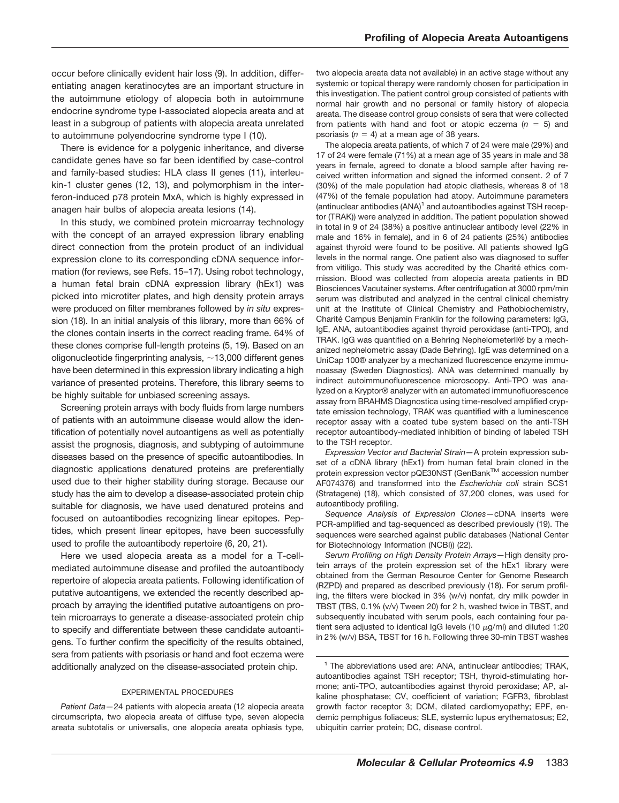occur before clinically evident hair loss (9). In addition, differentiating anagen keratinocytes are an important structure in the autoimmune etiology of alopecia both in autoimmune endocrine syndrome type I-associated alopecia areata and at least in a subgroup of patients with alopecia areata unrelated to autoimmune polyendocrine syndrome type I (10).

There is evidence for a polygenic inheritance, and diverse candidate genes have so far been identified by case-control and family-based studies: HLA class II genes (11), interleukin-1 cluster genes (12, 13), and polymorphism in the interferon-induced p78 protein MxA, which is highly expressed in anagen hair bulbs of alopecia areata lesions (14).

In this study, we combined protein microarray technology with the concept of an arrayed expression library enabling direct connection from the protein product of an individual expression clone to its corresponding cDNA sequence information (for reviews, see Refs. 15–17). Using robot technology, a human fetal brain cDNA expression library (hEx1) was picked into microtiter plates, and high density protein arrays were produced on filter membranes followed by *in situ* expression (18). In an initial analysis of this library, more than 66% of the clones contain inserts in the correct reading frame. 64% of these clones comprise full-length proteins (5, 19). Based on an oligonucleotide fingerprinting analysis,  $\sim$  13,000 different genes have been determined in this expression library indicating a high variance of presented proteins. Therefore, this library seems to be highly suitable for unbiased screening assays.

Screening protein arrays with body fluids from large numbers of patients with an autoimmune disease would allow the identification of potentially novel autoantigens as well as potentially assist the prognosis, diagnosis, and subtyping of autoimmune diseases based on the presence of specific autoantibodies. In diagnostic applications denatured proteins are preferentially used due to their higher stability during storage. Because our study has the aim to develop a disease-associated protein chip suitable for diagnosis, we have used denatured proteins and focused on autoantibodies recognizing linear epitopes. Peptides, which present linear epitopes, have been successfully used to profile the autoantibody repertoire (6, 20, 21).

Here we used alopecia areata as a model for a T-cellmediated autoimmune disease and profiled the autoantibody repertoire of alopecia areata patients. Following identification of putative autoantigens, we extended the recently described approach by arraying the identified putative autoantigens on protein microarrays to generate a disease-associated protein chip to specify and differentiate between these candidate autoantigens. To further confirm the specificity of the results obtained, sera from patients with psoriasis or hand and foot eczema were additionally analyzed on the disease-associated protein chip.

## EXPERIMENTAL PROCEDURES

*Patient Data—*24 patients with alopecia areata (12 alopecia areata circumscripta, two alopecia areata of diffuse type, seven alopecia areata subtotalis or universalis, one alopecia areata ophiasis type, two alopecia areata data not available) in an active stage without any systemic or topical therapy were randomly chosen for participation in this investigation. The patient control group consisted of patients with normal hair growth and no personal or family history of alopecia areata. The disease control group consists of sera that were collected from patients with hand and foot or atopic eczema  $(n = 5)$  and psoriasis  $(n = 4)$  at a mean age of 38 years.

The alopecia areata patients, of which 7 of 24 were male (29%) and 17 of 24 were female (71%) at a mean age of 35 years in male and 38 years in female, agreed to donate a blood sample after having received written information and signed the informed consent. 2 of 7 (30%) of the male population had atopic diathesis, whereas 8 of 18 (47%) of the female population had atopy. Autoimmune parameters (antinuclear antibodies  $(ANA)^1$  and autoantibodies against TSH receptor (TRAK)) were analyzed in addition. The patient population showed in total in 9 of 24 (38%) a positive antinuclear antibody level (22% in male and 16% in female), and in 6 of 24 patients (25%) antibodies against thyroid were found to be positive. All patients showed IgG levels in the normal range. One patient also was diagnosed to suffer from vitiligo. This study was accredited by the Charité ethics commission. Blood was collected from alopecia areata patients in BD Biosciences Vacutainer systems. After centrifugation at 3000 rpm/min serum was distributed and analyzed in the central clinical chemistry unit at the Institute of Clinical Chemistry and Pathobiochemistry, Charité Campus Benjamin Franklin for the following parameters: IgG, IgE, ANA, autoantibodies against thyroid peroxidase (anti-TPO), and TRAK. IgG was quantified on a Behring NephelometerII® by a mechanized nephelometric assay (Dade Behring). IgE was determined on a UniCap 100® analyzer by a mechanized fluorescence enzyme immunoassay (Sweden Diagnostics). ANA was determined manually by indirect autoimmunofluorescence microscopy. Anti-TPO was analyzed on a Kryptor® analyzer with an automated immunofluorescence assay from BRAHMS Diagnostica using time-resolved amplified cryptate emission technology, TRAK was quantified with a luminescence receptor assay with a coated tube system based on the anti-TSH receptor autoantibody-mediated inhibition of binding of labeled TSH to the TSH receptor.

*Expression Vector and Bacterial Strain—*A protein expression subset of a cDNA library (hEx1) from human fetal brain cloned in the protein expression vector pQE30NST (GenBank™ accession number AF074376) and transformed into the *Escherichia coli* strain SCS1 (Stratagene) (18), which consisted of 37,200 clones, was used for autoantibody profiling.

*Sequence Analysis of Expression Clones—*cDNA inserts were PCR-amplified and tag-sequenced as described previously (19). The sequences were searched against public databases (National Center for Biotechnology Information (NCBI)) (22).

*Serum Profiling on High Density Protein Arrays—*High density protein arrays of the protein expression set of the hEx1 library were obtained from the German Resource Center for Genome Research (RZPD) and prepared as described previously (18). For serum profiling, the filters were blocked in 3% (w/v) nonfat, dry milk powder in TBST (TBS, 0.1% (v/v) Tween 20) for 2 h, washed twice in TBST, and subsequently incubated with serum pools, each containing four patient sera adjusted to identical IgG levels (10  $\mu$ g/ml) and diluted 1:20 in 2% (w/v) BSA, TBST for 16 h. Following three 30-min TBST washes

<sup>&</sup>lt;sup>1</sup> The abbreviations used are: ANA, antinuclear antibodies; TRAK, autoantibodies against TSH receptor; TSH, thyroid-stimulating hormone; anti-TPO, autoantibodies against thyroid peroxidase; AP, alkaline phosphatase; CV, coefficient of variation; FGFR3, fibroblast growth factor receptor 3; DCM, dilated cardiomyopathy; EPF, endemic pemphigus foliaceus; SLE, systemic lupus erythematosus; E2, ubiquitin carrier protein; DC, disease control.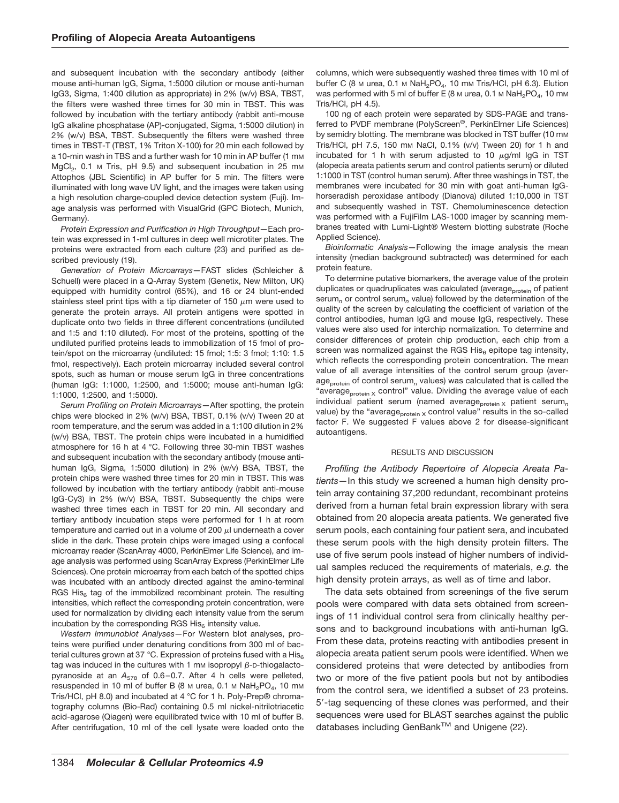and subsequent incubation with the secondary antibody (either mouse anti-human IgG, Sigma, 1:5000 dilution or mouse anti-human IgG3, Sigma, 1:400 dilution as appropriate) in 2% (w/v) BSA, TBST, the filters were washed three times for 30 min in TBST. This was followed by incubation with the tertiary antibody (rabbit anti-mouse IgG alkaline phosphatase (AP)-conjugated, Sigma, 1:5000 dilution) in 2% (w/v) BSA, TBST. Subsequently the filters were washed three times in TBST-T (TBST, 1% Triton X-100) for 20 min each followed by a 10-min wash in TBS and a further wash for 10 min in AP buffer (1 mm MgCl<sub>2</sub>, 0.1 M Tris, pH 9.5) and subsequent incubation in 25 mM Attophos (JBL Scientific) in AP buffer for 5 min. The filters were illuminated with long wave UV light, and the images were taken using a high resolution charge-coupled device detection system (Fuji). Image analysis was performed with VisualGrid (GPC Biotech, Munich, Germany).

*Protein Expression and Purification in High Throughput—*Each protein was expressed in 1-ml cultures in deep well microtiter plates. The proteins were extracted from each culture (23) and purified as described previously (19).

*Generation of Protein Microarrays—*FAST slides (Schleicher & Schuell) were placed in a Q-Array System (Genetix, New Milton, UK) equipped with humidity control (65%), and 16 or 24 blunt-ended stainless steel print tips with a tip diameter of 150  $\mu$ m were used to generate the protein arrays. All protein antigens were spotted in duplicate onto two fields in three different concentrations (undiluted and 1:5 and 1:10 diluted). For most of the proteins, spotting of the undiluted purified proteins leads to immobilization of 15 fmol of protein/spot on the microarray (undiluted: 15 fmol; 1:5: 3 fmol; 1:10: 1.5 fmol, respectively). Each protein microarray included several control spots, such as human or mouse serum IgG in three concentrations (human IgG: 1:1000, 1:2500, and 1:5000; mouse anti-human IgG: 1:1000, 1:2500, and 1:5000).

*Serum Profiling on Protein Microarrays—*After spotting, the protein chips were blocked in 2% (w/v) BSA, TBST, 0.1% (v/v) Tween 20 at room temperature, and the serum was added in a 1:100 dilution in 2% (w/v) BSA, TBST. The protein chips were incubated in a humidified atmosphere for 16 h at 4 °C. Following three 30-min TBST washes and subsequent incubation with the secondary antibody (mouse antihuman IgG, Sigma, 1:5000 dilution) in 2% (w/v) BSA, TBST, the protein chips were washed three times for 20 min in TBST. This was followed by incubation with the tertiary antibody (rabbit anti-mouse IgG-Cy3) in 2% (w/v) BSA, TBST. Subsequently the chips were washed three times each in TBST for 20 min. All secondary and tertiary antibody incubation steps were performed for 1 h at room temperature and carried out in a volume of 200  $\mu$ l underneath a cover slide in the dark. These protein chips were imaged using a confocal microarray reader (ScanArray 4000, PerkinElmer Life Science), and image analysis was performed using ScanArray Express (PerkinElmer Life Sciences). One protein microarray from each batch of the spotted chips was incubated with an antibody directed against the amino-terminal RGS His $_6$  tag of the immobilized recombinant protein. The resulting intensities, which reflect the corresponding protein concentration, were used for normalization by dividing each intensity value from the serum incubation by the corresponding RGS His $_6$  intensity value.

*Western Immunoblot Analyses—*For Western blot analyses, proteins were purified under denaturing conditions from 300 ml of bacterial cultures grown at 37 °C. Expression of proteins fused with a His $_6$ tag was induced in the cultures with 1 mm isopropyl  $\beta$ -D-thiogalactopyranoside at an  $A_{578}$  of 0.6-0.7. After 4 h cells were pelleted, resuspended in 10 ml of buffer B (8 M urea, 0.1 M NaH<sub>2</sub>PO<sub>4</sub>, 10 mM Tris/HCl, pH 8.0) and incubated at 4 °C for 1 h. Poly-Prep® chromatography columns (Bio-Rad) containing 0.5 ml nickel-nitrilotriacetic acid-agarose (Qiagen) were equilibrated twice with 10 ml of buffer B. After centrifugation, 10 ml of the cell lysate were loaded onto the

columns, which were subsequently washed three times with 10 ml of buffer C (8 M urea, 0.1 M NaH<sub>2</sub>PO<sub>4</sub>, 10 mM Tris/HCl, pH 6.3). Elution was performed with 5 ml of buffer E (8 M urea, 0.1 M NaH<sub>2</sub>PO<sub>4</sub>, 10 mM Tris/HCl, pH 4.5).

100 ng of each protein were separated by SDS-PAGE and transferred to PVDF membrane (PolyScreen®, PerkinElmer Life Sciences) by semidry blotting. The membrane was blocked in TST buffer (10 mm Tris/HCl, pH 7.5, 150 mM NaCl, 0.1% (v/v) Tween 20) for 1 h and incubated for 1 h with serum adjusted to 10  $\mu$ g/ml IgG in TST (alopecia areata patients serum and control patients serum) or diluted 1:1000 in TST (control human serum). After three washings in TST, the membranes were incubated for 30 min with goat anti-human IgGhorseradish peroxidase antibody (Dianova) diluted 1:10,000 in TST and subsequently washed in TST. Chemoluminescence detection was performed with a FujiFilm LAS-1000 imager by scanning membranes treated with Lumi-Light® Western blotting substrate (Roche Applied Science).

*Bioinformatic Analysis—*Following the image analysis the mean intensity (median background subtracted) was determined for each protein feature.

To determine putative biomarkers, the average value of the protein duplicates or quadruplicates was calculated (average<sub>protein</sub> of patient serum*<sup>n</sup>* or control serum*<sup>n</sup>* value) followed by the determination of the quality of the screen by calculating the coefficient of variation of the control antibodies, human IgG and mouse IgG, respectively. These values were also used for interchip normalization. To determine and consider differences of protein chip production, each chip from a screen was normalized against the RGS  $His<sub>6</sub>$  epitope tag intensity, which reflects the corresponding protein concentration. The mean value of all average intensities of the control serum group (average<sub>protein</sub> of control serum<sub>n</sub> values) was calculated that is called the "average<sub>protein x</sub> control" value. Dividing the average value of each individual patient serum (named average<sub>protein x</sub> patient serum<sub>n</sub> value) by the "average $_{\text{protein X}}$  control value" results in the so-called factor F. We suggested F values above 2 for disease-significant autoantigens.

# RESULTS AND DISCUSSION

*Profiling the Antibody Repertoire of Alopecia Areata Patients—*In this study we screened a human high density protein array containing 37,200 redundant, recombinant proteins derived from a human fetal brain expression library with sera obtained from 20 alopecia areata patients. We generated five serum pools, each containing four patient sera, and incubated these serum pools with the high density protein filters. The use of five serum pools instead of higher numbers of individual samples reduced the requirements of materials, *e.g.* the high density protein arrays, as well as of time and labor.

The data sets obtained from screenings of the five serum pools were compared with data sets obtained from screenings of 11 individual control sera from clinically healthy persons and to background incubations with anti-human IgG. From these data, proteins reacting with antibodies present in alopecia areata patient serum pools were identified. When we considered proteins that were detected by antibodies from two or more of the five patient pools but not by antibodies from the control sera, we identified a subset of 23 proteins. 5-tag sequencing of these clones was performed, and their sequences were used for BLAST searches against the public databases including GenBank™ and Unigene (22).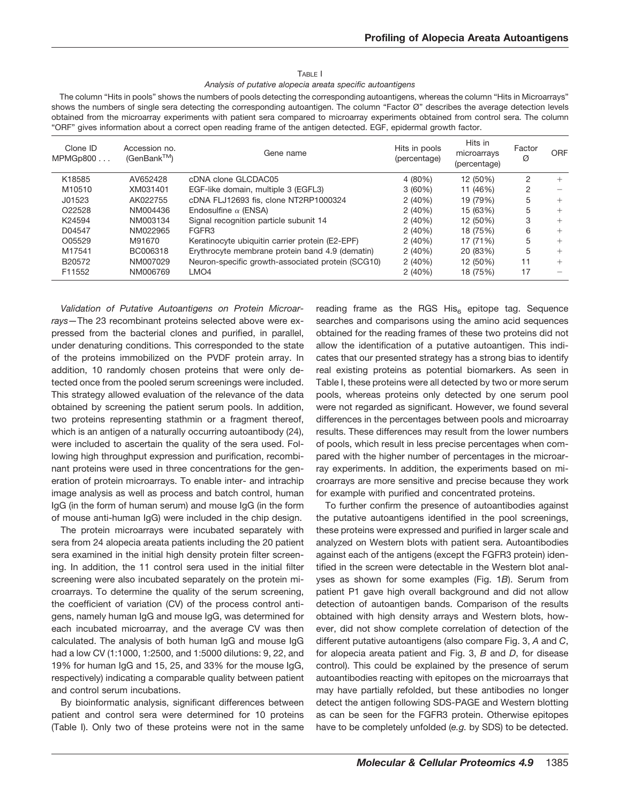### TABLE I

*Analysis of putative alopecia areata specific autoantigens*

The column "Hits in pools" shows the numbers of pools detecting the corresponding autoantigens, whereas the column "Hits in Microarrays" shows the numbers of single sera detecting the corresponding autoantigen. The column "Factor Ø" describes the average detection levels obtained from the microarray experiments with patient sera compared to microarray experiments obtained from control sera. The column "ORF" gives information about a correct open reading frame of the antigen detected. EGF, epidermal growth factor.

| Clone ID<br>MPMGp800 | Accession no.<br>$(GenBank^{TM})$ | Gene name                                         | Hits in pools<br>(percentage) | Hits in<br>microarrays<br>(percentage) | Factor<br>Ø | <b>ORF</b> |
|----------------------|-----------------------------------|---------------------------------------------------|-------------------------------|----------------------------------------|-------------|------------|
| K18585               | AV652428                          | cDNA clone GLCDAC05                               | 4 (80%)                       | 12 (50%)                               | 2           |            |
| M10510               | XM031401                          | EGF-like domain, multiple 3 (EGFL3)               | 3(60%)                        | 11 (46%)                               | 2           |            |
| J01523               | AK022755                          | cDNA FLJ12693 fis, clone NT2RP1000324             | 2(40%)                        | 19 (79%)                               | 5           |            |
| O <sub>22528</sub>   | NM004436                          | Endosulfine $\alpha$ (ENSA)                       | 2(40%)                        | 15 (63%)                               | 5           |            |
| K24594               | NM003134                          | Signal recognition particle subunit 14            | 2(40%)                        | 12 (50%)                               | 3           |            |
| D04547               | NM022965                          | FGFR <sub>3</sub>                                 | 2(40%)                        | 18 (75%)                               | 6           |            |
| O05529               | M91670                            | Keratinocyte ubiquitin carrier protein (E2-EPF)   | 2(40%)                        | 17 (71%)                               | 5           |            |
| M17541               | BC006318                          | Erythrocyte membrane protein band 4.9 (dematin)   | 2(40%)                        | 20 (83%)                               | 5           | $^+$       |
| B20572               | NM007029                          | Neuron-specific growth-associated protein (SCG10) | 2(40%)                        | 12 (50%)                               | 11          | $^+$       |
| F11552               | NM006769                          | LMO <sub>4</sub>                                  | 2(40%)                        | 18 (75%)                               | 17          |            |

*Validation of Putative Autoantigens on Protein Microarrays—*The 23 recombinant proteins selected above were expressed from the bacterial clones and purified, in parallel, under denaturing conditions. This corresponded to the state of the proteins immobilized on the PVDF protein array. In addition, 10 randomly chosen proteins that were only detected once from the pooled serum screenings were included. This strategy allowed evaluation of the relevance of the data obtained by screening the patient serum pools. In addition, two proteins representing stathmin or a fragment thereof, which is an antigen of a naturally occurring autoantibody (24), were included to ascertain the quality of the sera used. Following high throughput expression and purification, recombinant proteins were used in three concentrations for the generation of protein microarrays. To enable inter- and intrachip image analysis as well as process and batch control, human IgG (in the form of human serum) and mouse IgG (in the form of mouse anti-human IgG) were included in the chip design.

The protein microarrays were incubated separately with sera from 24 alopecia areata patients including the 20 patient sera examined in the initial high density protein filter screening. In addition, the 11 control sera used in the initial filter screening were also incubated separately on the protein microarrays. To determine the quality of the serum screening, the coefficient of variation (CV) of the process control antigens, namely human IgG and mouse IgG, was determined for each incubated microarray, and the average CV was then calculated. The analysis of both human IgG and mouse IgG had a low CV (1:1000, 1:2500, and 1:5000 dilutions: 9, 22, and 19% for human IgG and 15, 25, and 33% for the mouse IgG, respectively) indicating a comparable quality between patient and control serum incubations.

By bioinformatic analysis, significant differences between patient and control sera were determined for 10 proteins (Table I). Only two of these proteins were not in the same reading frame as the RGS His $_6$  epitope tag. Sequence searches and comparisons using the amino acid sequences obtained for the reading frames of these two proteins did not allow the identification of a putative autoantigen. This indicates that our presented strategy has a strong bias to identify real existing proteins as potential biomarkers. As seen in Table I, these proteins were all detected by two or more serum pools, whereas proteins only detected by one serum pool were not regarded as significant. However, we found several differences in the percentages between pools and microarray results. These differences may result from the lower numbers of pools, which result in less precise percentages when compared with the higher number of percentages in the microarray experiments. In addition, the experiments based on microarrays are more sensitive and precise because they work for example with purified and concentrated proteins.

To further confirm the presence of autoantibodies against the putative autoantigens identified in the pool screenings, these proteins were expressed and purified in larger scale and analyzed on Western blots with patient sera. Autoantibodies against each of the antigens (except the FGFR3 protein) identified in the screen were detectable in the Western blot analyses as shown for some examples (Fig. 1*B*). Serum from patient P1 gave high overall background and did not allow detection of autoantigen bands. Comparison of the results obtained with high density arrays and Western blots, however, did not show complete correlation of detection of the different putative autoantigens (also compare Fig. 3, *A* and *C*, for alopecia areata patient and Fig. 3, *B* and *D*, for disease control). This could be explained by the presence of serum autoantibodies reacting with epitopes on the microarrays that may have partially refolded, but these antibodies no longer detect the antigen following SDS-PAGE and Western blotting as can be seen for the FGFR3 protein. Otherwise epitopes have to be completely unfolded (*e.g.* by SDS) to be detected.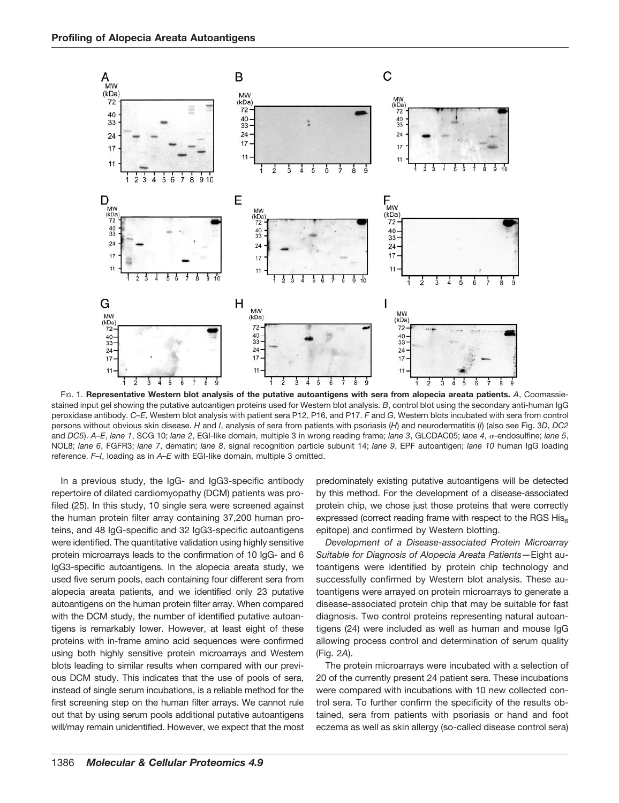

FIG. 1. **Representative Western blot analysis of the putative autoantigens with sera from alopecia areata patients.** *A*, Coomassiestained input gel showing the putative autoantigen proteins used for Western blot analysis. *B*, control blot using the secondary anti-human IgG peroxidase antibody. *C–E*, Western blot analysis with patient sera P12, P16, and P17. *F* and *G*, Western blots incubated with sera from control persons without obvious skin disease. *H* and *I*, analysis of sera from patients with psoriasis (*H*) and neurodermatitis (*I*) (also see Fig. 3*D*, *DC2* and *DC5*). A–E, lane 1, SCG 10; lane 2, EGI-like domain, multiple 3 in wrong reading frame; lane 3, GLCDAC05; lane 4, α-endosulfine; lane 5, NOL8; *lane 6*, FGFR3; *lane 7*, dematin; *lane 8*, signal recognition particle subunit 14; *lane 9*, EPF autoantigen; *lane 10* human IgG loading reference. *F–I*, loading as in *A–E* with EGI-like domain, multiple 3 omitted.

In a previous study, the IgG- and IgG3-specific antibody repertoire of dilated cardiomyopathy (DCM) patients was profiled (25). In this study, 10 single sera were screened against the human protein filter array containing 37,200 human proteins, and 48 IgG-specific and 32 IgG3-specific autoantigens were identified. The quantitative validation using highly sensitive protein microarrays leads to the confirmation of 10 IgG- and 6 IgG3-specific autoantigens. In the alopecia areata study, we used five serum pools, each containing four different sera from alopecia areata patients, and we identified only 23 putative autoantigens on the human protein filter array. When compared with the DCM study, the number of identified putative autoantigens is remarkably lower. However, at least eight of these proteins with in-frame amino acid sequences were confirmed using both highly sensitive protein microarrays and Western blots leading to similar results when compared with our previous DCM study. This indicates that the use of pools of sera, instead of single serum incubations, is a reliable method for the first screening step on the human filter arrays. We cannot rule out that by using serum pools additional putative autoantigens will/may remain unidentified. However, we expect that the most

predominately existing putative autoantigens will be detected by this method. For the development of a disease-associated protein chip, we chose just those proteins that were correctly expressed (correct reading frame with respect to the RGS  $His<sub>6</sub>$ epitope) and confirmed by Western blotting.

*Development of a Disease-associated Protein Microarray Suitable for Diagnosis of Alopecia Areata Patients—*Eight autoantigens were identified by protein chip technology and successfully confirmed by Western blot analysis. These autoantigens were arrayed on protein microarrays to generate a disease-associated protein chip that may be suitable for fast diagnosis. Two control proteins representing natural autoantigens (24) were included as well as human and mouse IgG allowing process control and determination of serum quality (Fig. 2*A*).

The protein microarrays were incubated with a selection of 20 of the currently present 24 patient sera. These incubations were compared with incubations with 10 new collected control sera. To further confirm the specificity of the results obtained, sera from patients with psoriasis or hand and foot eczema as well as skin allergy (so-called disease control sera)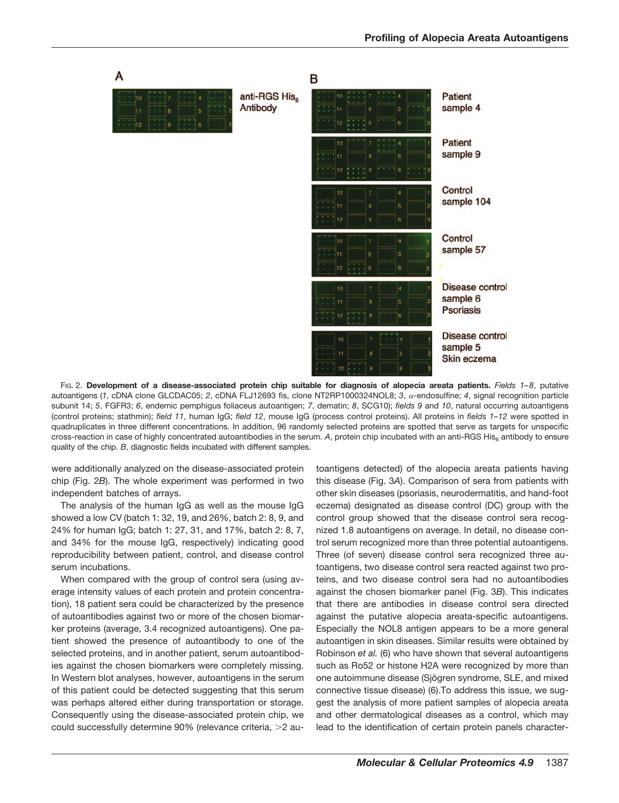

FIG. 2. **Development of a disease-associated protein chip suitable for diagnosis of alopecia areata patients.** *Fields 1–8*, putative autoantigens (1, cDNA clone GLCDAC05; 2, cDNA FLJ12693 fis, clone NT2RP1000324NOL8; 3, a-endosulfine; 4, signal recognition particle subunit 14; *5*, FGFR3; *6*, endemic pemphigus foliaceus autoantigen; *7*, dematin; *8*, SCG10); *fields 9* and *10*, natural occurring autoantigens (control proteins; stathmin); *field 11*, human IgG; *field 12*, mouse IgG (process control proteins). All proteins in *fields 1–12* were spotted in quadruplicates in three different concentrations. In addition, 96 randomly selected proteins are spotted that serve as targets for unspecific cross-reaction in case of highly concentrated autoantibodies in the serum. A, protein chip incubated with an anti-RGS His<sub>6</sub> antibody to ensure quality of the chip. *B*, diagnostic fields incubated with different samples.

were additionally analyzed on the disease-associated protein chip (Fig. 2*B*). The whole experiment was performed in two independent batches of arrays.

The analysis of the human IgG as well as the mouse IgG showed a low CV (batch 1: 32, 19, and 26%, batch 2: 8, 9, and 24% for human IgG; batch 1: 27, 31, and 17%, batch 2: 8, 7, and 34% for the mouse IgG, respectively) indicating good reproducibility between patient, control, and disease control serum incubations.

When compared with the group of control sera (using average intensity values of each protein and protein concentration), 18 patient sera could be characterized by the presence of autoantibodies against two or more of the chosen biomarker proteins (average, 3.4 recognized autoantigens). One patient showed the presence of autoantibody to one of the selected proteins, and in another patient, serum autoantibodies against the chosen biomarkers were completely missing. In Western blot analyses, however, autoantigens in the serum of this patient could be detected suggesting that this serum was perhaps altered either during transportation or storage. Consequently using the disease-associated protein chip, we could successfully determine 90% (relevance criteria, >2 autoantigens detected) of the alopecia areata patients having this disease (Fig. 3*A*). Comparison of sera from patients with other skin diseases (psoriasis, neurodermatitis, and hand-foot eczema) designated as disease control (DC) group with the control group showed that the disease control sera recognized 1.8 autoantigens on average. In detail, no disease control serum recognized more than three potential autoantigens. Three (of seven) disease control sera recognized three autoantigens, two disease control sera reacted against two proteins, and two disease control sera had no autoantibodies against the chosen biomarker panel (Fig. 3*B*). This indicates that there are antibodies in disease control sera directed against the putative alopecia areata-specific autoantigens. Especially the NOL8 antigen appears to be a more general autoantigen in skin diseases. Similar results were obtained by Robinson *et al.* (6) who have shown that several autoantigens such as Ro52 or histone H2A were recognized by more than one autoimmune disease (Sjögren syndrome, SLE, and mixed connective tissue disease) (6).To address this issue, we suggest the analysis of more patient samples of alopecia areata and other dermatological diseases as a control, which may lead to the identification of certain protein panels character-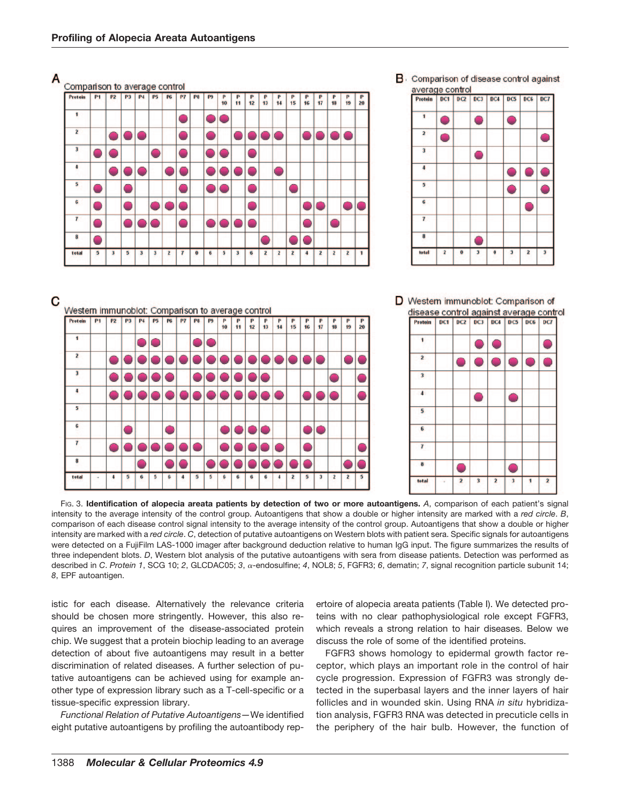

FIG. 3. **Identification of alopecia areata patients by detection of two or more autoantigens.** *A*, comparison of each patient's signal intensity to the average intensity of the control group. Autoantigens that show a double or higher intensity are marked with a *red circle*. *B*, comparison of each disease control signal intensity to the average intensity of the control group. Autoantigens that show a double or higher intensity are marked with a *red circle*. *C*, detection of putative autoantigens on Western blots with patient sera. Specific signals for autoantigens were detected on a FujiFilm LAS-1000 imager after background deduction relative to human IgG input. The figure summarizes the results of three independent blots. *D*, Western blot analysis of the putative autoantigens with sera from disease patients. Detection was performed as described in *C. Protein 1*, SCG 10; 2, GLCDAC05; 3,  $\alpha$ -endosulfine; 4, NOL8; 5, FGFR3; 6, dematin; 7, signal recognition particle subunit 14; *8*, EPF autoantigen.

istic for each disease. Alternatively the relevance criteria should be chosen more stringently. However, this also requires an improvement of the disease-associated protein chip. We suggest that a protein biochip leading to an average detection of about five autoantigens may result in a better discrimination of related diseases. A further selection of putative autoantigens can be achieved using for example another type of expression library such as a T-cell-specific or a tissue-specific expression library.

*Functional Relation of Putative Autoantigens—*We identified eight putative autoantigens by profiling the autoantibody repertoire of alopecia areata patients (Table I). We detected proteins with no clear pathophysiological role except FGFR3, which reveals a strong relation to hair diseases. Below we discuss the role of some of the identified proteins.

FGFR3 shows homology to epidermal growth factor receptor, which plays an important role in the control of hair cycle progression. Expression of FGFR3 was strongly detected in the superbasal layers and the inner layers of hair follicles and in wounded skin. Using RNA *in situ* hybridization analysis, FGFR3 RNA was detected in precuticle cells in the periphery of the hair bulb. However, the function of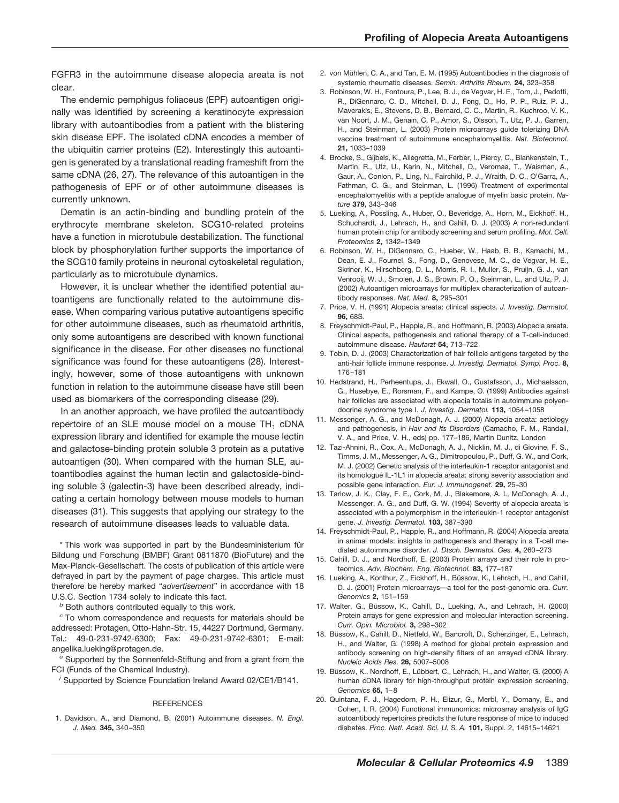FGFR3 in the autoimmune disease alopecia areata is not clear.

The endemic pemphigus foliaceus (EPF) autoantigen originally was identified by screening a keratinocyte expression library with autoantibodies from a patient with the blistering skin disease EPF. The isolated cDNA encodes a member of the ubiquitin carrier proteins (E2). Interestingly this autoantigen is generated by a translational reading frameshift from the same cDNA (26, 27). The relevance of this autoantigen in the pathogenesis of EPF or of other autoimmune diseases is currently unknown.

Dematin is an actin-binding and bundling protein of the erythrocyte membrane skeleton. SCG10-related proteins have a function in microtubule destabilization. The functional block by phosphorylation further supports the importance of the SCG10 family proteins in neuronal cytoskeletal regulation, particularly as to microtubule dynamics.

However, it is unclear whether the identified potential autoantigens are functionally related to the autoimmune disease. When comparing various putative autoantigens specific for other autoimmune diseases, such as rheumatoid arthritis, only some autoantigens are described with known functional significance in the disease. For other diseases no functional significance was found for these autoantigens (28). Interestingly, however, some of those autoantigens with unknown function in relation to the autoimmune disease have still been used as biomarkers of the corresponding disease (29).

In an another approach, we have profiled the autoantibody repertoire of an SLE mouse model on a mouse  $TH_1$  cDNA expression library and identified for example the mouse lectin and galactose-binding protein soluble 3 protein as a putative autoantigen (30). When compared with the human SLE, autoantibodies against the human lectin and galactoside-binding soluble 3 (galectin-3) have been described already, indicating a certain homology between mouse models to human diseases (31). This suggests that applying our strategy to the research of autoimmune diseases leads to valuable data.

\* This work was supported in part by the Bundesministerium für Bildung und Forschung (BMBF) Grant 0811870 (BioFuture) and the Max-Planck-Gesellschaft. The costs of publication of this article were defrayed in part by the payment of page charges. This article must therefore be hereby marked "*advertisement*" in accordance with 18 U.S.C. Section 1734 solely to indicate this fact.

*<sup>b</sup>* Both authors contributed equally to this work.

*<sup>c</sup>* To whom correspondence and requests for materials should be addressed: Protagen, Otto-Hahn-Str. 15, 44227 Dortmund, Germany. Tel.: 49-0-231-9742-6300; Fax: 49-0-231-9742-6301; E-mail: angelika.lueking@protagen.de.

*<sup>e</sup>* Supported by the Sonnenfeld-Stiftung and from a grant from the FCI (Funds of the Chemical Industry).

*j* Supported by Science Foundation Ireland Award 02/CE1/B141.

#### **REFERENCES**

1. Davidson, A., and Diamond, B. (2001) Autoimmune diseases. *N. Engl. J. Med.* **345,** 340 –350

- 2. von Mühlen, C. A., and Tan, E. M. (1995) Autoantibodies in the diagnosis of systemic rheumatic diseases. *Semin. Arthritis Rheum.* **24,** 323–358
- 3. Robinson, W. H., Fontoura, P., Lee, B. J., de Vegvar, H. E., Tom, J., Pedotti, R., DiGennaro, C. D., Mitchell, D. J., Fong, D., Ho, P. P., Ruiz, P. J., Maverakis, E., Stevens, D. B., Bernard, C. C., Martin, R., Kuchroo, V. K., van Noort, J. M., Genain, C. P., Amor, S., Olsson, T., Utz, P. J., Garren, H., and Steinman, L. (2003) Protein microarrays guide tolerizing DNA vaccine treatment of autoimmune encephalomyelitis. *Nat. Biotechnol.* **21,** 1033–1039
- 4. Brocke, S., Gijbels, K., Allegretta, M., Ferber, I., Piercy, C., Blankenstein, T., Martin, R., Utz, U., Karin, N., Mitchell, D., Veromaa, T., Waisman, A., Gaur, A., Conlon, P., Ling, N., Fairchild, P. J., Wraith, D. C., O'Garra, A., Fathman, C. G., and Steinman, L. (1996) Treatment of experimental encephalomyelitis with a peptide analogue of myelin basic protein. *Nature* **379,** 343–346
- 5. Lueking, A., Possling, A., Huber, O., Beveridge, A., Horn, M., Eickhoff, H., Schuchardt, J., Lehrach, H., and Cahill, D. J. (2003) A non-redundant human protein chip for antibody screening and serum profiling. *Mol. Cell. Proteomics* **2,** 1342–1349
- 6. Robinson, W. H., DiGennaro, C., Hueber, W., Haab, B. B., Kamachi, M., Dean, E. J., Fournel, S., Fong, D., Genovese, M. C., de Vegvar, H. E., Skriner, K., Hirschberg, D. L., Morris, R. I., Muller, S., Pruijn, G. J., van Venrooij, W. J., Smolen, J. S., Brown, P. O., Steinman, L., and Utz, P. J. (2002) Autoantigen microarrays for multiplex characterization of autoantibody responses. *Nat. Med.* **8,** 295–301
- 7. Price, V. H. (1991) Alopecia areata: clinical aspects. *J. Investig. Dermatol.* **96,** 68S.
- 8. Freyschmidt-Paul, P., Happle, R., and Hoffmann, R. (2003) Alopecia areata. Clinical aspects, pathogenesis and rational therapy of a T-cell-induced autoimmune disease. *Hautarzt* **54,** 713–722
- 9. Tobin, D. J. (2003) Characterization of hair follicle antigens targeted by the anti-hair follicle immune response. *J. Investig. Dermatol. Symp. Proc.* **8,** 176 –181
- 10. Hedstrand, H., Perheentupa, J., Ekwall, O., Gustafsson, J., Michaelsson, G., Husebye, E., Rorsman, F., and Kampe, O. (1999) Antibodies against hair follicles are associated with alopecia totalis in autoimmune polyendocrine syndrome type I. *J. Investig. Dermatol.* **113,** 1054 –1058
- 11. Messenger, A. G., and McDonagh, A. J. (2000) Alopecia areata: aetiology and pathogenesis, in *Hair and Its Disorders* (Camacho, F. M., Randall, V. A., and Price, V. H., eds) pp. 177–186, Martin Dunitz, London
- 12. Tazi-Ahnini, R., Cox, A., McDonagh, A. J., Nicklin, M. J., di Giovine, F. S., Timms, J. M., Messenger, A. G., Dimitropoulou, P., Duff, G. W., and Cork, M. J. (2002) Genetic analysis of the interleukin-1 receptor antagonist and its homologue IL-1L1 in alopecia areata: strong severity association and possible gene interaction. *Eur. J. Immunogenet.* **29,** 25–30
- 13. Tarlow, J. K., Clay, F. E., Cork, M. J., Blakemore, A. I., McDonagh, A. J., Messenger, A. G., and Duff, G. W. (1994) Severity of alopecia areata is associated with a polymorphism in the interleukin-1 receptor antagonist gene. *J. Investig. Dermatol.* **103,** 387–390
- 14. Freyschmidt-Paul, P., Happle, R., and Hoffmann, R. (2004) Alopecia areata in animal models: insights in pathogenesis and therapy in a T-cell mediated autoimmune disorder. *J. Dtsch. Dermatol. Ges.* **4,** 260 –273
- 15. Cahill, D. J., and Nordhoff, E. (2003) Protein arrays and their role in proteomics. *Adv. Biochem. Eng. Biotechnol.* **83,** 177–187
- 16. Lueking, A., Konthur, Z., Eickhoff, H., Büssow, K., Lehrach, H., and Cahill, D. J. (2001) Protein microarrays—a tool for the post-genomic era. *Curr. Genomics* **2,** 151–159
- 17. Walter, G., Büssow, K., Cahill, D., Lueking, A., and Lehrach, H. (2000) Protein arrays for gene expression and molecular interaction screening. *Curr. Opin. Microbiol.* **3,** 298 –302
- 18. Büssow, K., Cahill, D., Nietfeld, W., Bancroft, D., Scherzinger, E., Lehrach, H., and Walter, G. (1998) A method for global protein expression and antibody screening on high-density filters of an arrayed cDNA library. *Nucleic Acids Res.* **26,** 5007–5008
- 19. Büssow, K., Nordhoff, E., Lübbert, C., Lehrach, H., and Walter, G. (2000) A human cDNA library for high-throughput protein expression screening. *Genomics* **65,** 1– 8
- 20. Quintana, F. J., Hagedorn, P. H., Elizur, G., Merbl, Y., Domany, E., and Cohen, I. R. (2004) Functional immunomics: microarray analysis of IgG autoantibody repertoires predicts the future response of mice to induced diabetes. *Proc. Natl. Acad. Sci. U. S. A.* **101,** Suppl. 2, 14615–14621